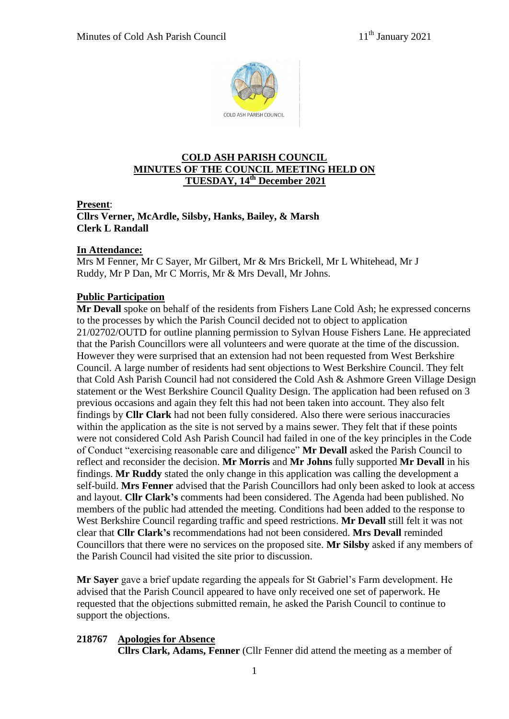

## **COLD ASH PARISH COUNCIL MINUTES OF THE COUNCIL MEETING HELD ON TUESDAY, 14th December 2021**

## **Present**:

**Cllrs Verner, McArdle, Silsby, Hanks, Bailey, & Marsh Clerk L Randall**

## **In Attendance:**

Mrs M Fenner, Mr C Sayer, Mr Gilbert, Mr & Mrs Brickell, Mr L Whitehead, Mr J Ruddy, Mr P Dan, Mr C Morris, Mr & Mrs Devall, Mr Johns.

## **Public Participation**

**Mr Devall** spoke on behalf of the residents from Fishers Lane Cold Ash; he expressed concerns to the processes by which the Parish Council decided not to object to application 21/02702/OUTD for outline planning permission to Sylvan House Fishers Lane. He appreciated that the Parish Councillors were all volunteers and were quorate at the time of the discussion. However they were surprised that an extension had not been requested from West Berkshire Council. A large number of residents had sent objections to West Berkshire Council. They felt that Cold Ash Parish Council had not considered the Cold Ash & Ashmore Green Village Design statement or the West Berkshire Council Quality Design. The application had been refused on 3 previous occasions and again they felt this had not been taken into account. They also felt findings by **Cllr Clark** had not been fully considered. Also there were serious inaccuracies within the application as the site is not served by a mains sewer. They felt that if these points were not considered Cold Ash Parish Council had failed in one of the key principles in the Code of Conduct "exercising reasonable care and diligence" **Mr Devall** asked the Parish Council to reflect and reconsider the decision. **Mr Morris** and **Mr Johns** fully supported **Mr Devall** in his findings. **Mr Ruddy** stated the only change in this application was calling the development a self-build. **Mrs Fenner** advised that the Parish Councillors had only been asked to look at access and layout. **Cllr Clark's** comments had been considered. The Agenda had been published. No members of the public had attended the meeting. Conditions had been added to the response to West Berkshire Council regarding traffic and speed restrictions. **Mr Devall** still felt it was not clear that **Cllr Clark's** recommendations had not been considered. **Mrs Devall** reminded Councillors that there were no services on the proposed site. **Mr Silsby** asked if any members of the Parish Council had visited the site prior to discussion.

**Mr Sayer** gave a brief update regarding the appeals for St Gabriel's Farm development. He advised that the Parish Council appeared to have only received one set of paperwork. He requested that the objections submitted remain, he asked the Parish Council to continue to support the objections.

# **218767 Apologies for Absence**

**Cllrs Clark, Adams, Fenner** (Cllr Fenner did attend the meeting as a member of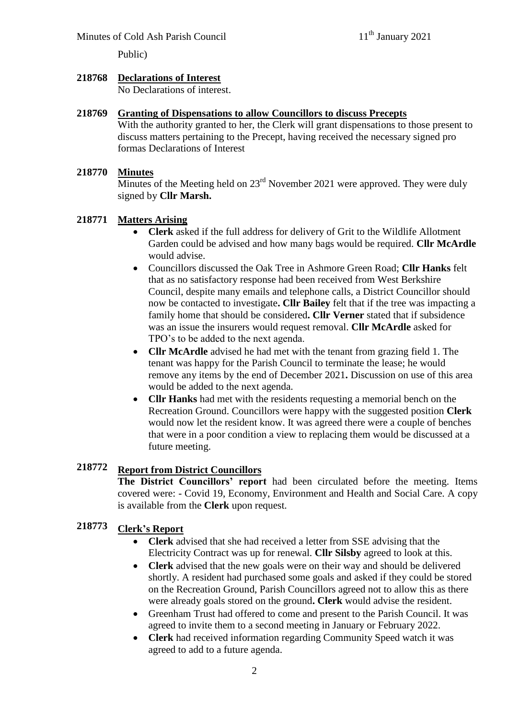Public)

# **218768 Declarations of Interest**

No Declarations of interest.

### **218769 Granting of Dispensations to allow Councillors to discuss Precepts**

With the authority granted to her, the Clerk will grant dispensations to those present to discuss matters pertaining to the Precept, having received the necessary signed pro formas Declarations of Interest

#### **218770 Minutes**

 $\overline{\text{Minutes}}$  of the Meeting held on  $23^{\text{rd}}$  November 2021 were approved. They were duly signed by **Cllr Marsh.**

# **218771 Matters Arising**

- **Clerk** asked if the full address for delivery of Grit to the Wildlife Allotment Garden could be advised and how many bags would be required. **Cllr McArdle** would advise.
- Councillors discussed the Oak Tree in Ashmore Green Road; **Cllr Hanks** felt that as no satisfactory response had been received from West Berkshire Council, despite many emails and telephone calls, a District Councillor should now be contacted to investigate**. Cllr Bailey** felt that if the tree was impacting a family home that should be considered**. Cllr Verner** stated that if subsidence was an issue the insurers would request removal. **Cllr McArdle** asked for TPO's to be added to the next agenda.
- **Cllr McArdle** advised he had met with the tenant from grazing field 1. The tenant was happy for the Parish Council to terminate the lease; he would remove any items by the end of December 2021**.** Discussion on use of this area would be added to the next agenda.
- **Cllr Hanks** had met with the residents requesting a memorial bench on the Recreation Ground. Councillors were happy with the suggested position **Clerk** would now let the resident know. It was agreed there were a couple of benches that were in a poor condition a view to replacing them would be discussed at a future meeting.

### **218772 Report from District Councillors**

**The District Councillors' report** had been circulated before the meeting. Items covered were: - Covid 19, Economy, Environment and Health and Social Care. A copy is available from the **Clerk** upon request.

### **218773 Clerk's Report**

- **Clerk** advised that she had received a letter from SSE advising that the Electricity Contract was up for renewal. **Cllr Silsby** agreed to look at this.
- **Clerk** advised that the new goals were on their way and should be delivered shortly. A resident had purchased some goals and asked if they could be stored on the Recreation Ground, Parish Councillors agreed not to allow this as there were already goals stored on the ground**. Clerk** would advise the resident.
- Greenham Trust had offered to come and present to the Parish Council. It was agreed to invite them to a second meeting in January or February 2022.
- **Clerk** had received information regarding Community Speed watch it was agreed to add to a future agenda.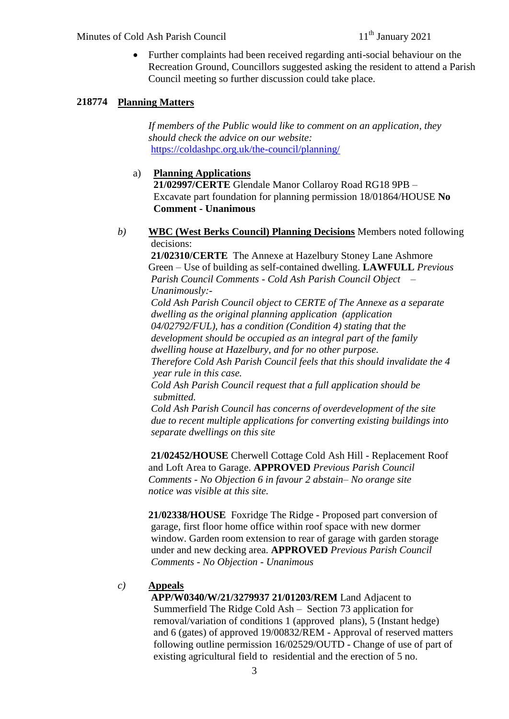# Minutes of Cold Ash Parish Council  $11<sup>th</sup>$  January 2021

 Further complaints had been received regarding anti-social behaviour on the Recreation Ground, Councillors suggested asking the resident to attend a Parish Council meeting so further discussion could take place.

### **218774 Planning Matters**

 *If members of the Public would like to comment on an application, they should check the advice on our website:* <https://coldashpc.org.uk/the-council/planning/>

## a) **Planning Applications**

 **21/02997/CERTE** Glendale Manor Collaroy Road RG18 9PB – Excavate part foundation for planning permission 18/01864/HOUSE **No Comment - Unanimous**

*b)* **WBC (West Berks Council) Planning Decisions** Members noted following decisions:

 **21/02310/CERTE** The Annexe at Hazelbury Stoney Lane Ashmore Green – Use of building as self-contained dwelling. **LAWFULL** *Previous Parish Council Comments - Cold Ash Parish Council Object – Unanimously:- Cold Ash Parish Council object to CERTE of The Annexe as a separate dwelling as the original planning application (application 04/02792/FUL), has a condition (Condition 4) stating that the development should be occupied as an integral part of the family dwelling house at Hazelbury, and for no other purpose. Therefore Cold Ash Parish Council feels that this should invalidate the 4 year rule in this case. Cold Ash Parish Council request that a full application should be submitted. Cold Ash Parish Council has concerns of overdevelopment of the site* 

 *due to recent multiple applications for converting existing buildings into separate dwellings on this site*

**21/02452/HOUSE** Cherwell Cottage Cold Ash Hill - Replacement Roof and Loft Area to Garage. **APPROVED** *Previous Parish Council Comments - No Objection 6 in favour 2 abstain– No orange site notice was visible at this site.*

**21/02338/HOUSE**Foxridge The Ridge - Proposed part conversion of garage, first floor home office within roof space with new dormer window. Garden room extension to rear of garage with garden storage under and new decking area. **APPROVED** *Previous Parish Council Comments - No Objection - Unanimous*

## *c)* **Appeals**

 **APP/W0340/W/21/3279937 21/01203/REM** Land Adjacent to Summerfield The Ridge Cold Ash – Section 73 application for removal/variation of conditions 1 (approved plans), 5 (Instant hedge) and 6 (gates) of approved 19/00832/REM - Approval of reserved matters following outline permission 16/02529/OUTD - Change of use of part of existing agricultural field to residential and the erection of 5 no.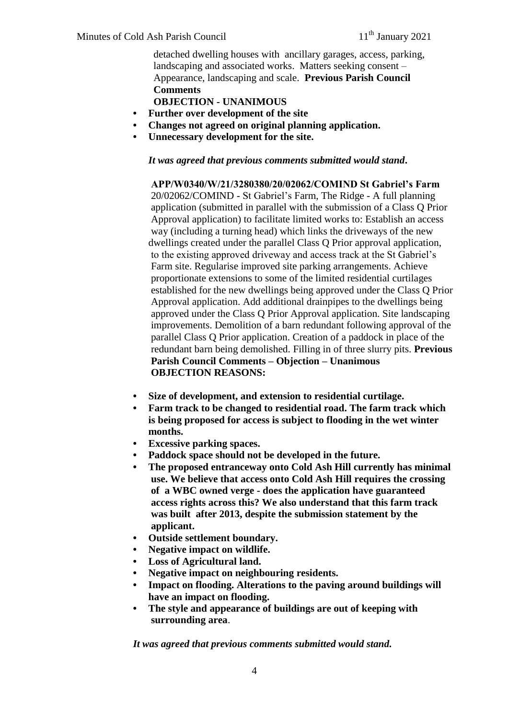detached dwelling houses with ancillary garages, access, parking, landscaping and associated works. Matters seeking consent – Appearance, landscaping and scale. **Previous Parish Council Comments** 

 **OBJECTION - UNANIMOUS**

- **• Further over development of the site**
- **• Changes not agreed on original planning application.**
- **• Unnecessary development for the site.**

### *It was agreed that previous comments submitted would stand***.**

 **APP/W0340/W/21/3280380/20/02062/COMIND St Gabriel's Farm** 20/02062/COMIND - St Gabriel's Farm, The Ridge - A full planning application (submitted in parallel with the submission of a Class Q Prior Approval application) to facilitate limited works to: Establish an access way (including a turning head) which links the driveways of the new dwellings created under the parallel Class Q Prior approval application, to the existing approved driveway and access track at the St Gabriel's Farm site. Regularise improved site parking arrangements. Achieve proportionate extensions to some of the limited residential curtilages established for the new dwellings being approved under the Class Q Prior Approval application. Add additional drainpipes to the dwellings being approved under the Class Q Prior Approval application. Site landscaping improvements. Demolition of a barn redundant following approval of the parallel Class Q Prior application. Creation of a paddock in place of the redundant barn being demolished. Filling in of three slurry pits. **Previous Parish Council Comments – Objection – Unanimous OBJECTION REASONS:**

- **• Size of development, and extension to residential curtilage.**
- **• Farm track to be changed to residential road. The farm track which is being proposed for access is subject to flooding in the wet winter months.**
- **• Excessive parking spaces.**
- **• Paddock space should not be developed in the future.**
- **• The proposed entranceway onto Cold Ash Hill currently has minimal use. We believe that access onto Cold Ash Hill requires the crossing of a WBC owned verge - does the application have guaranteed access rights across this? We also understand that this farm track was built after 2013, despite the submission statement by the applicant.**
- **• Outside settlement boundary.**
- **• Negative impact on wildlife.**
- **• Loss of Agricultural land.**
- **• Negative impact on neighbouring residents.**
- **• Impact on flooding. Alterations to the paving around buildings will have an impact on flooding.**
- **• The style and appearance of buildings are out of keeping with surrounding area**.

*It was agreed that previous comments submitted would stand.*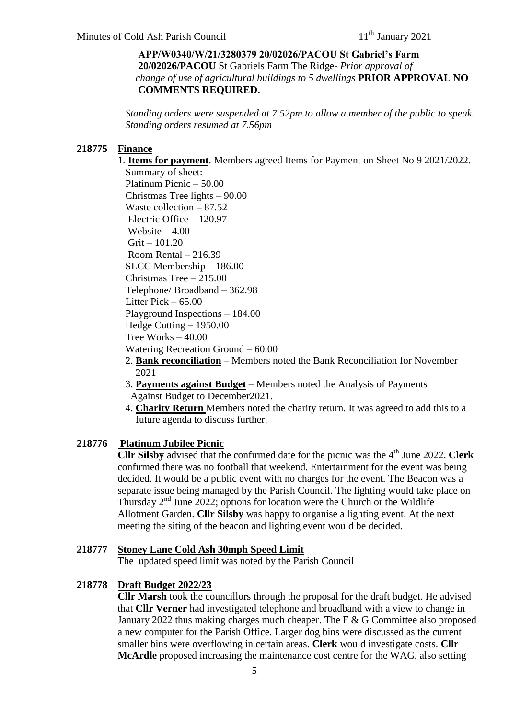**APP/W0340/W/21/3280379 20/02026/PACOU St Gabriel's Farm****20/02026/PACOU** St Gabriels Farm The Ridge- *Prior approval of change of use of agricultural buildings to 5 dwellings* **PRIOR APPROVAL NO COMMENTS REQUIRED.**

 *Standing orders were suspended at 7.52pm to allow a member of the public to speak. Standing orders resumed at 7.56pm*

### **218775 Finance**

1. **Items for payment**. Members agreed Items for Payment on Sheet No 9 2021/2022. Summary of sheet: Platinum Picnic – 50.00 Christmas Tree lights – 90.00 Waste collection – 87.52 Electric Office – 120.97 Website  $-4.00$  $Grit - 101.20$ Room Rental  $-216.39$  SLCC Membership – 186.00 Christmas Tree – 215.00 Telephone/ Broadband – 362.98 Litter Pick – 65.00 Playground Inspections – 184.00 Hedge Cutting – 1950.00 Tree Works – 40.00 Watering Recreation Ground – 60.00

- 2. **Bank reconciliation** Members noted the Bank Reconciliation for November 2021
- 3. **Payments against Budget** Members noted the Analysis of Payments Against Budget to December2021.
- 4. **Charity Return** Members noted the charity return. It was agreed to add this to a future agenda to discuss further.

### **218776 Platinum Jubilee Picnic**

**Cllr Silsby** advised that the confirmed date for the picnic was the  $4<sup>th</sup>$  June 2022. **Clerk** confirmed there was no football that weekend. Entertainment for the event was being decided. It would be a public event with no charges for the event. The Beacon was a separate issue being managed by the Parish Council. The lighting would take place on Thursday  $2<sup>nd</sup>$  June 2022; options for location were the Church or the Wildlife Allotment Garden. **Cllr Silsby** was happy to organise a lighting event. At the next meeting the siting of the beacon and lighting event would be decided.

#### **218777 Stoney Lane Cold Ash 30mph Speed Limit**

The updated speed limit was noted by the Parish Council

### **218778 Draft Budget 2022/23**

**Cllr Marsh** took the councillors through the proposal for the draft budget. He advised that **Cllr Verner** had investigated telephone and broadband with a view to change in January 2022 thus making charges much cheaper. The F & G Committee also proposed a new computer for the Parish Office. Larger dog bins were discussed as the current smaller bins were overflowing in certain areas. **Clerk** would investigate costs. **Cllr McArdle** proposed increasing the maintenance cost centre for the WAG, also setting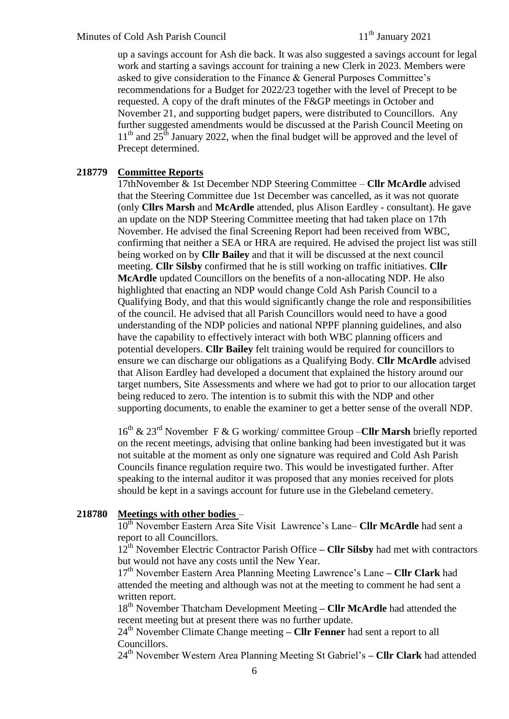up a savings account for Ash die back. It was also suggested a savings account for legal work and starting a savings account for training a new Clerk in 2023. Members were asked to give consideration to the Finance & General Purposes Committee's recommendations for a Budget for 2022/23 together with the level of Precept to be requested. A copy of the draft minutes of the F&GP meetings in October and November 21, and supporting budget papers, were distributed to Councillors. Any further suggested amendments would be discussed at the Parish Council Meeting on  $11<sup>th</sup>$  and  $25<sup>th</sup>$  January 2022, when the final budget will be approved and the level of Precept determined.

#### **218779 Committee Reports**

17thNovember & 1st December NDP Steering Committee – **Cllr McArdle** advised that the Steering Committee due 1st December was cancelled, as it was not quorate (only **Cllrs Marsh** and **McArdle** attended, plus Alison Eardley - consultant). He gave an update on the NDP Steering Committee meeting that had taken place on 17th November. He advised the final Screening Report had been received from WBC, confirming that neither a SEA or HRA are required. He advised the project list was still being worked on by **Cllr Bailey** and that it will be discussed at the next council meeting. **Cllr Silsby** confirmed that he is still working on traffic initiatives. **Cllr McArdle** updated Councillors on the benefits of a non-allocating NDP. He also highlighted that enacting an NDP would change Cold Ash Parish Council to a Qualifying Body, and that this would significantly change the role and responsibilities of the council. He advised that all Parish Councillors would need to have a good understanding of the NDP policies and national NPPF planning guidelines, and also have the capability to effectively interact with both WBC planning officers and potential developers. **Cllr Bailey** felt training would be required for councillors to ensure we can discharge our obligations as a Qualifying Body. **Cllr McArdle** advised that Alison Eardley had developed a document that explained the history around our target numbers, Site Assessments and where we had got to prior to our allocation target being reduced to zero. The intention is to submit this with the NDP and other supporting documents, to enable the examiner to get a better sense of the overall NDP.

16th & 23rd November F & G working/ committee Group –**Cllr Marsh** briefly reported on the recent meetings, advising that online banking had been investigated but it was not suitable at the moment as only one signature was required and Cold Ash Parish Councils finance regulation require two. This would be investigated further. After speaking to the internal auditor it was proposed that any monies received for plots should be kept in a savings account for future use in the Glebeland cemetery.

#### **218780 Meetings with other bodies** –

10th November Eastern Area Site Visit Lawrence's Lane– **Cllr McArdle** had sent a report to all Councillors.

12th November Electric Contractor Parish Office **– Cllr Silsby** had met with contractors but would not have any costs until the New Year.

17th November Eastern Area Planning Meeting Lawrence's Lane **– Cllr Clark** had attended the meeting and although was not at the meeting to comment he had sent a written report.

18th November Thatcham Development Meeting **– Cllr McArdle** had attended the recent meeting but at present there was no further update.

24th November Climate Change meeting **– Cllr Fenner** had sent a report to all Councillors.

24th November Western Area Planning Meeting St Gabriel's **– Cllr Clark** had attended